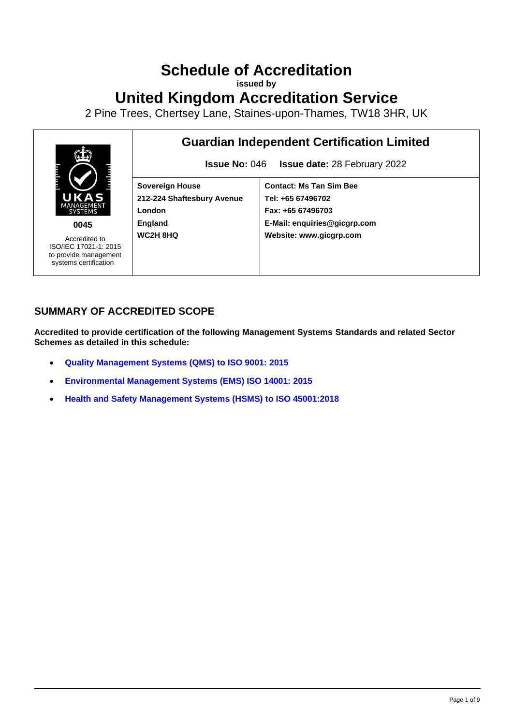# **Schedule of Accreditation**

**issued by**

## **United Kingdom Accreditation Service**

2 Pine Trees, Chertsey Lane, Staines-upon-Thames, TW18 3HR, UK



### **SUMMARY OF ACCREDITED SCOPE**

**Accredited to provide certification of the following Management Systems Standards and related Sector Schemes as detailed in this schedule:**

- **[Quality Management Systems](#page-2-0) (QMS) to ISO 9001: 2015**
- **[Environmental Management Systems](#page-5-0) (EMS) ISO 14001: 2015**
- **[Health and Safety Management Systems \(HSMS\) to ISO 45001:2018](#page-6-0)**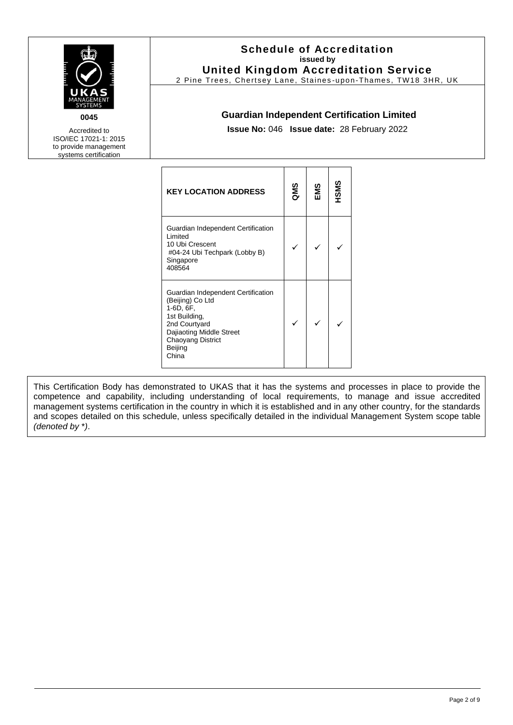| 0045<br>Accredited to<br>ISO/IEC 17021-1: 2015<br>to provide management<br>systems certification | <b>Schedule of Accreditation</b><br>issued by<br><b>United Kingdom Accreditation Service</b><br>2 Pine Trees, Chertsey Lane, Staines-upon-Thames, TW18 3HR, UK<br><b>Guardian Independent Certification Limited</b><br>Issue No: 046 Issue date: 28 February 2022 |     |     |      |  |  |
|--------------------------------------------------------------------------------------------------|-------------------------------------------------------------------------------------------------------------------------------------------------------------------------------------------------------------------------------------------------------------------|-----|-----|------|--|--|
|                                                                                                  | <b>KEY LOCATION ADDRESS</b>                                                                                                                                                                                                                                       | QMS | EMS | HSMS |  |  |
|                                                                                                  | Guardian Independent Certification<br>Limited<br>10 Ubi Crescent<br>#04-24 Ubi Techpark (Lobby B)<br>Singapore<br>408564                                                                                                                                          | ✓   | ✓   | ✓    |  |  |
|                                                                                                  | Guardian Independent Certification<br>(Beijing) Co Ltd<br>1-6D, 6F,<br>1st Building,<br>2nd Courtyard<br>Dajiaoting Middle Street<br>Chaoyang District<br>Beijing<br>China                                                                                        | ✓   | ✓   | ✓    |  |  |

This Certification Body has demonstrated to UKAS that it has the systems and processes in place to provide the competence and capability, including understanding of local requirements, to manage and issue accredited management systems certification in the country in which it is established and in any other country, for the standards and scopes detailed on this schedule, unless specifically detailed in the individual Management System scope table *(denoted by* \**)*.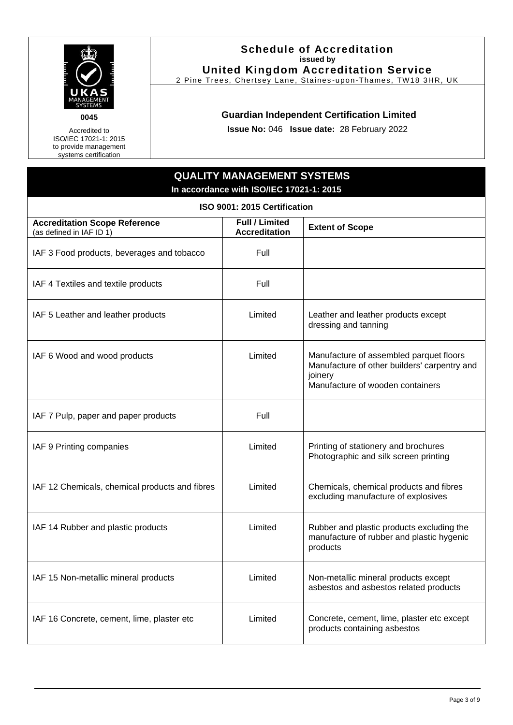

Accredited to ISO/IEC 17021-1: 2015 to provide management systems certification

#### **Schedule of Accreditation issued by United Kingdom Accreditation Service**

2 Pine Trees, Chertsey Lane, Staines -upon-Thames, TW18 3HR, UK

#### **Guardian Independent Certification Limited**

**Issue No:** 046 **Issue date:** 28 February 2022

## <span id="page-2-0"></span>**QUALITY MANAGEMENT SYSTEMS In accordance with ISO/IEC 17021-1: 2015 ISO 9001: 2015 Certification Accreditation Scope Reference** (as defined in IAF ID 1) **Full / Limited Accreditation Extent of Scope** IAF 3 Food products, beverages and tobacco  $\Box$  Full IAF 4 Textiles and textile products Texture Full IAF 5 Leather and leather products Limited Leather and leather products except dressing and tanning IAF 6 Wood and wood products Limited Manufacture of assembled parquet floors Manufacture of other builders' carpentry and ioinery Manufacture of wooden containers IAF 7 Pulp, paper and paper products Full IAF 9 Printing companies **Limited** Printing of stationery and brochures Photographic and silk screen printing IAF 12 Chemicals, chemical products and fibres Limited Chemicals, chemical products and fibres excluding manufacture of explosives IAF 14 Rubber and plastic products  $\parallel$  Limited | Rubber and plastic products excluding the manufacture of rubber and plastic hygenic products IAF 15 Non-metallic mineral products Limited Non-metallic mineral products except asbestos and asbestos related products IAF 16 Concrete, cement, lime, plaster etc Limited Concrete, cement, lime, plaster etc except products containing asbestos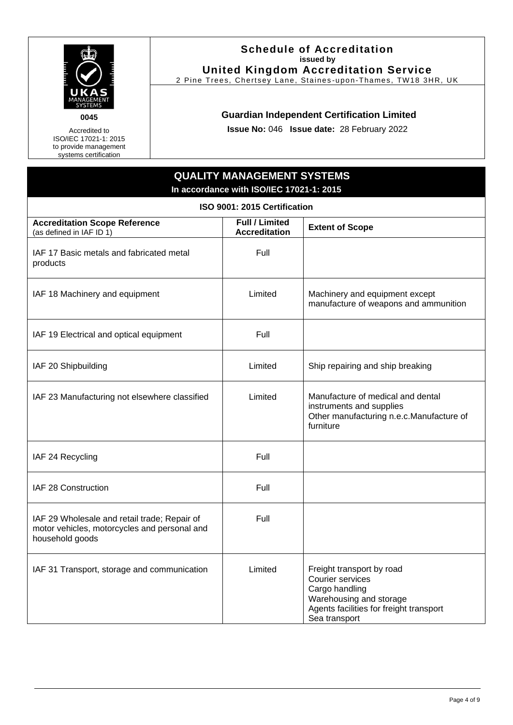

Accredited to ISO/IEC 17021-1: 2015 to provide management systems certification

#### **Schedule of Accreditation issued by United Kingdom Accreditation Service**

2 Pine Trees, Chertsey Lane, Staines -upon-Thames, TW18 3HR, UK

#### **Guardian Independent Certification Limited**

**Issue No:** 046 **Issue date:** 28 February 2022

## **QUALITY MANAGEMENT SYSTEMS In accordance with ISO/IEC 17021-1: 2015 ISO 9001: 2015 Certification Accreditation Scope Reference** (as defined in IAF ID 1) **Full / Limited Extent of Scope** IAF 17 Basic metals and fabricated metal products Full IAF 18 Machinery and equipment **Example 18** Limited Machinery and equipment except manufacture of weapons and ammunition IAF 19 Electrical and optical equipment Full IAF 20 Shipbuilding **Limited** Ship repairing and ship breaking IAF 23 Manufacturing not elsewhere classified Limited Manufacture of medical and dental instruments and supplies Other manufacturing n.e.c.Manufacture of furniture IAF 24 Recycling Full and Table 1. The Full and Table 1. The Full and Table 1. The Full and Table 1. The Full and Table 1. The Full and Table 1. The Full and Table 1. The Full and Table 1. The Full and Table 1. The Full an IAF 28 Construction **Full** IAF 29 Wholesale and retail trade; Repair of motor vehicles, motorcycles and personal and household goods Full IAF 31 Transport, storage and communication | Limited | Freight transport by road Courier services Cargo handling Warehousing and storage Agents facilities for freight transport Sea transport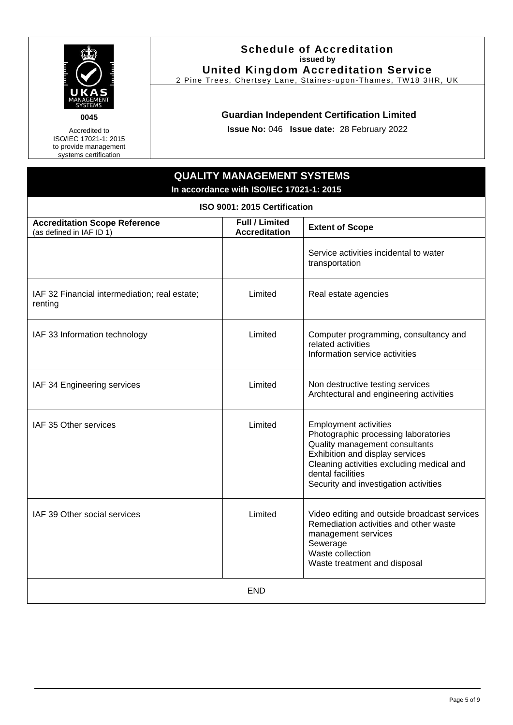

Accredited to ISO/IEC 17021-1: 2015 to provide management systems certification

#### **Schedule of Accreditation issued by United Kingdom Accreditation Service**

2 Pine Trees, Chertsey Lane, Staines -upon-Thames, TW18 3HR, UK

#### **Guardian Independent Certification Limited**

**Issue No:** 046 **Issue date:** 28 February 2022

### **QUALITY MANAGEMENT SYSTEMS In accordance with ISO/IEC 17021-1: 2015 ISO 9001: 2015 Certification Accreditation Scope Reference** (as defined in IAF ID 1) **Full / Limited Extent of Scope** Service activities incidental to water transportation IAF 32 Financial intermediation; real estate; renting Limited | Real estate agencies IAF 33 Information technology **Limited** Computer programming, consultancy and related activities Information service activities IAF 34 Engineering services and Limited Non destructive testing services Archtectural and engineering activities IAF 35 Other services **Limited** Employment activities Photographic processing laboratories Quality management consultants Exhibition and display services Cleaning activities excluding medical and dental facilities Security and investigation activities IAF 39 Other social services Limited Video editing and outside broadcast services Remediation activities and other waste management services Sewerage Waste collection Waste treatment and disposal END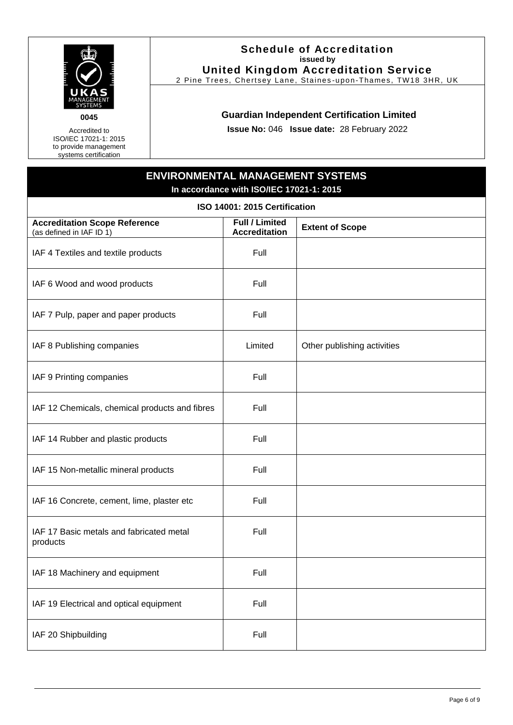

Accredited to ISO/IEC 17021-1: 2015 to provide management systems certification

#### **Schedule of Accreditation issued by United Kingdom Accreditation Service**

2 Pine Trees, Chertsey Lane, Staines -upon-Thames, TW18 3HR, UK

#### **Guardian Independent Certification Limited**

**Issue No:** 046 **Issue date:** 28 February 2022

<span id="page-5-0"></span>

| <b>ENVIRONMENTAL MANAGEMENT SYSTEMS</b><br>In accordance with ISO/IEC 17021-1: 2015 |                                               |                             |  |  |  |  |
|-------------------------------------------------------------------------------------|-----------------------------------------------|-----------------------------|--|--|--|--|
| ISO 14001: 2015 Certification                                                       |                                               |                             |  |  |  |  |
| <b>Accreditation Scope Reference</b><br>(as defined in IAF ID 1)                    | <b>Full / Limited</b><br><b>Accreditation</b> | <b>Extent of Scope</b>      |  |  |  |  |
| IAF 4 Textiles and textile products                                                 | Full                                          |                             |  |  |  |  |
| IAF 6 Wood and wood products                                                        | Full                                          |                             |  |  |  |  |
| IAF 7 Pulp, paper and paper products                                                | Full                                          |                             |  |  |  |  |
| IAF 8 Publishing companies                                                          | Limited                                       | Other publishing activities |  |  |  |  |
| IAF 9 Printing companies                                                            | Full                                          |                             |  |  |  |  |
| IAF 12 Chemicals, chemical products and fibres                                      | Full                                          |                             |  |  |  |  |
| IAF 14 Rubber and plastic products                                                  | Full                                          |                             |  |  |  |  |
| IAF 15 Non-metallic mineral products                                                | Full                                          |                             |  |  |  |  |
| IAF 16 Concrete, cement, lime, plaster etc                                          | Full                                          |                             |  |  |  |  |
| IAF 17 Basic metals and fabricated metal<br>products                                | Full                                          |                             |  |  |  |  |
| IAF 18 Machinery and equipment                                                      | Full                                          |                             |  |  |  |  |
| IAF 19 Electrical and optical equipment                                             | Full                                          |                             |  |  |  |  |
| IAF 20 Shipbuilding                                                                 | Full                                          |                             |  |  |  |  |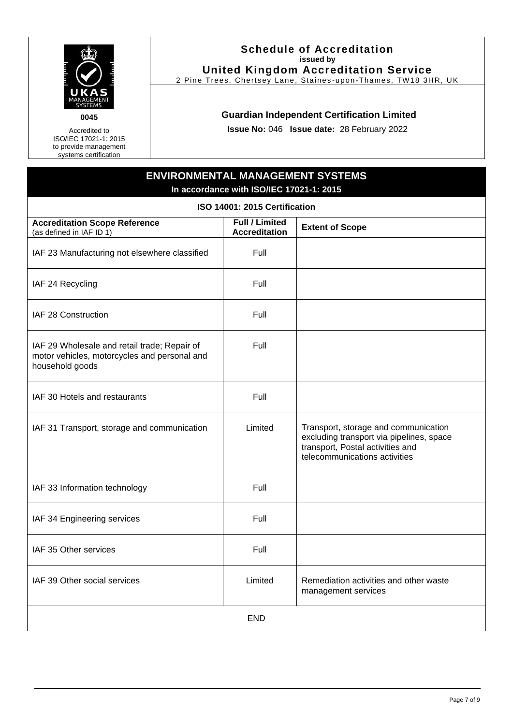

Accredited to ISO/IEC 17021-1: 2015 to provide management systems certification

#### **Schedule of Accreditation issued by United Kingdom Accreditation Service**

2 Pine Trees, Chertsey Lane, Staines -upon-Thames, TW18 3HR, UK

#### **Guardian Independent Certification Limited**

**Issue No:** 046 **Issue date:** 28 February 2022

<span id="page-6-0"></span>

| <b>ENVIRONMENTAL MANAGEMENT SYSTEMS</b><br>In accordance with ISO/IEC 17021-1: 2015                             |                                               |                                                                                                                                                       |  |  |  |  |
|-----------------------------------------------------------------------------------------------------------------|-----------------------------------------------|-------------------------------------------------------------------------------------------------------------------------------------------------------|--|--|--|--|
| ISO 14001: 2015 Certification                                                                                   |                                               |                                                                                                                                                       |  |  |  |  |
| <b>Accreditation Scope Reference</b><br>(as defined in IAF ID 1)                                                | <b>Full / Limited</b><br><b>Accreditation</b> | <b>Extent of Scope</b>                                                                                                                                |  |  |  |  |
| IAF 23 Manufacturing not elsewhere classified                                                                   | Full                                          |                                                                                                                                                       |  |  |  |  |
| IAF 24 Recycling                                                                                                | Full                                          |                                                                                                                                                       |  |  |  |  |
| IAF 28 Construction                                                                                             | Full                                          |                                                                                                                                                       |  |  |  |  |
| IAF 29 Wholesale and retail trade; Repair of<br>motor vehicles, motorcycles and personal and<br>household goods | Full                                          |                                                                                                                                                       |  |  |  |  |
| IAF 30 Hotels and restaurants                                                                                   | Full                                          |                                                                                                                                                       |  |  |  |  |
| IAF 31 Transport, storage and communication                                                                     | Limited                                       | Transport, storage and communication<br>excluding transport via pipelines, space<br>transport, Postal activities and<br>telecommunications activities |  |  |  |  |
| IAF 33 Information technology                                                                                   | Full                                          |                                                                                                                                                       |  |  |  |  |
| IAF 34 Engineering services                                                                                     | Full                                          |                                                                                                                                                       |  |  |  |  |
| IAF 35 Other services                                                                                           | Full                                          |                                                                                                                                                       |  |  |  |  |
| IAF 39 Other social services                                                                                    | Limited                                       | Remediation activities and other waste<br>management services                                                                                         |  |  |  |  |
|                                                                                                                 | <b>END</b>                                    |                                                                                                                                                       |  |  |  |  |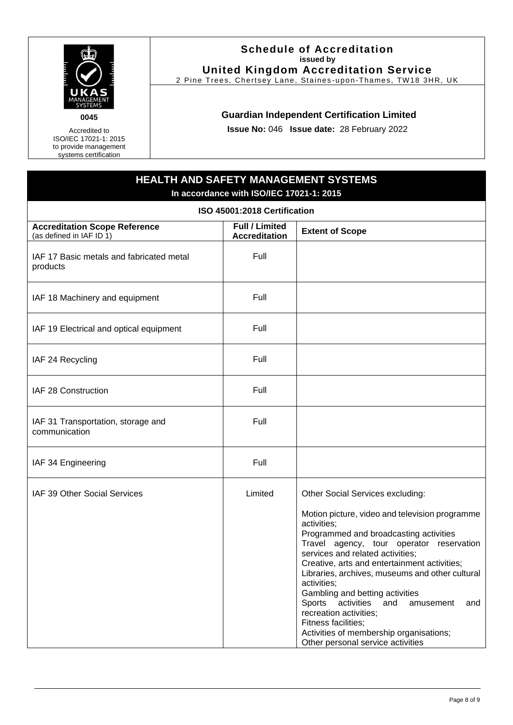

Accredited to ISO/IEC 17021-1: 2015 to provide management systems certification

#### **Schedule of Accreditation issued by United Kingdom Accreditation Service**

2 Pine Trees, Chertsey Lane, Staines -upon-Thames, TW18 3HR, UK

#### **Guardian Independent Certification Limited**

**Issue No:** 046 **Issue date:** 28 February 2022

## **HEALTH AND SAFETY MANAGEMENT SYSTEMS In accordance with ISO/IEC 17021-1: 2015 ISO 45001:2018 Certification Accreditation Scope Reference** (as defined in IAF ID 1) **Full / Limited Accreditation Extent of Scope** IAF 17 Basic metals and fabricated metal products Full IAF 18 Machinery and equipment Full IAF 19 Electrical and optical equipment Full IAF 24 Recycling Full IAF 28 Construction **Full** Full IAF 31 Transportation, storage and communication Full IAF 34 Engineering Full and Table 1. The Full and Table 1. The Full and Table 1. The Full and Table 1. The Full IAF 39 Other Social Services Limited Dther Social Services excluding: Motion picture, video and television programme activities; Programmed and broadcasting activities Travel agency, tour operator reservation services and related activities; Creative, arts and entertainment activities; Libraries, archives, museums and other cultural activities; Gambling and betting activities Sports activities and amusement and recreation activities; Fitness facilities; Activities of membership organisations; Other personal service activities